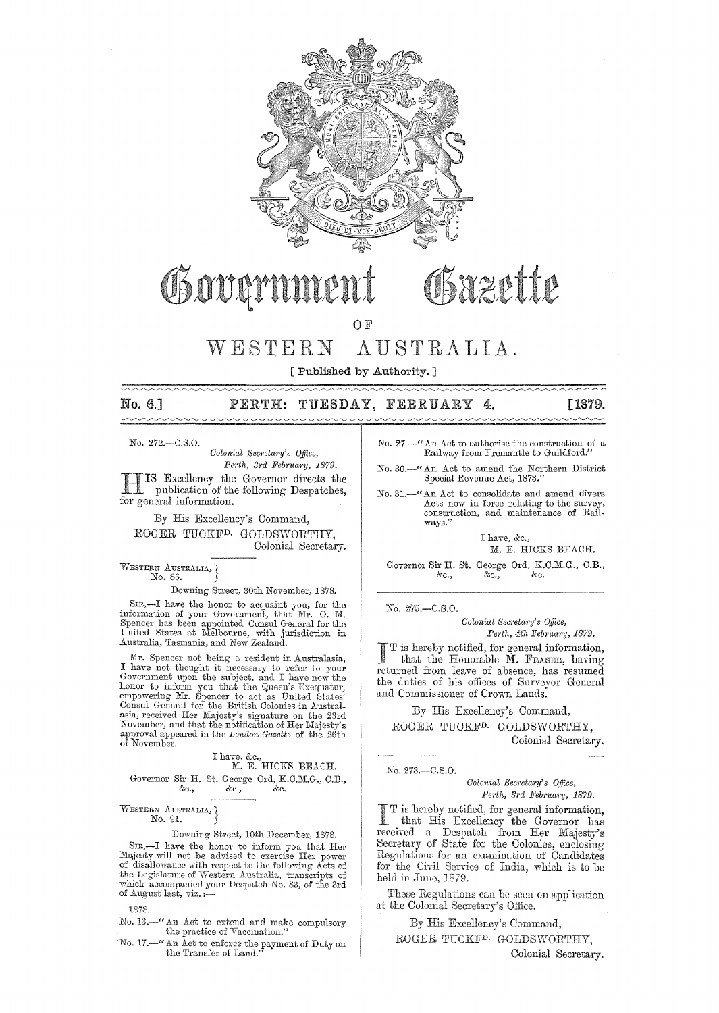

# Osazette OSover

OF

#### AUSTRALIA.  $WESTERN$

[Published by Authority. ]

## No. 6.] PERTH: TUESDAY, FEBRUARY **4. [1879.**

*No.* 272.-C.S.0.

 $\sim\sim\sim$ 

*Colonial Secretary's Office,* Perth, 3rd February, 1879.

HIS Excellency the Governor directs the publication of the following Despatches, for general information.

By His Excellency's Command, ROGER TUCKFD. GOLDSWORTHY, Colonial Secretary.

WESTERN AUSTRALIA, No. 86. )

Downing Street, 30th November, 1878.

SIR,-I have the honor to acquaint you, for the information of your Government, that Mr. O. M. Spencer has been appointed Consul General for the United States at Melbourne, with jurisdiction in Australia, Tasmania, and New Zealand.

Mr. Spencer not being a resident in Australasia, I have not thought it necessary to refer to your Government upon the subject, and I have now the honor to inform you that the Queen's Exequatur, empowering Mr. Spencer to ac asia, received Her Majesty's signature on the 23rd November, and that the notification of Her Majesty's approval appeared in the *London Gazette* of the 26th of November.

# I have, &c.,<br>M. E. HICKS BEACH.

## Governor Sir H. St. George Ord, K.C.M.G., C.B., &c., &c. &c., &c., &c.

WESTERN AUSTRALIA, No. 91.

## Downing Street, lOth December, 1878.

SIR,-I have the honor to inform you that Her Majesty will not be advised to exercise Her power<br>of disallowance with respect to the following Acts of<br>the Legislature of Western Australia, transcripts of<br>the Legislature of Western Australia, transcripts of<br>which accomp

1878.

No. 13.—" An Act to extend and make compulsory the practice of Vaccination."

No. 17.—" An Act to enforce the payment of Duty on the Transfer of Land."

No. 27.--" An Act to authorise the construction of a Railway from Fremantle to Guildford."

No. 30.-" An Act to amend the Northern District Special Revenue Act, 1873."

No. 31. $-$ " An Act to consolidate and amend divers Acts now in force relating to the survey, construction, and maintenance of Rail**ways."** 

> I have, &c., M. E. HICKS BEACH.

Governor Sir H. St. George Ord, K.C.M.G., C.B., &c., &c., &c. &c., &c., &c.

*No.* 275.-0.S.0.

*Colonial Secretary's Office,* Perth, 4th February, 1879.

is hereby notified, for geueral information, that the Honorable M. FRASER, having returned from leave of absence, has resumed the duties of his offices of Surveyor General and Commissioner of Crown Lands.

By His Excellency:s Command, ROGER TUCKFD. GOLDSWORTHY, Colonial Secretary.

## *No.* 273.-0.S.0.

*Colonial Secretary's Office,*  Perth, 3rd February, 1879.

I T is hereby notified, for general information, that His Excellency the Governor has received a Despatch from Her Majesty's Secretary of State for the Colonies, enclosing Regulations for an examination of Candidates for the Civil Service of India, which is to be held in June, 1879.

These Regulations can be seen on application at the Colonial Secretary's Office.

By His Excellency's Command,

ROGER TUCKF<sup>D.</sup> GOLDSWORTHY,

Colonial Secretary.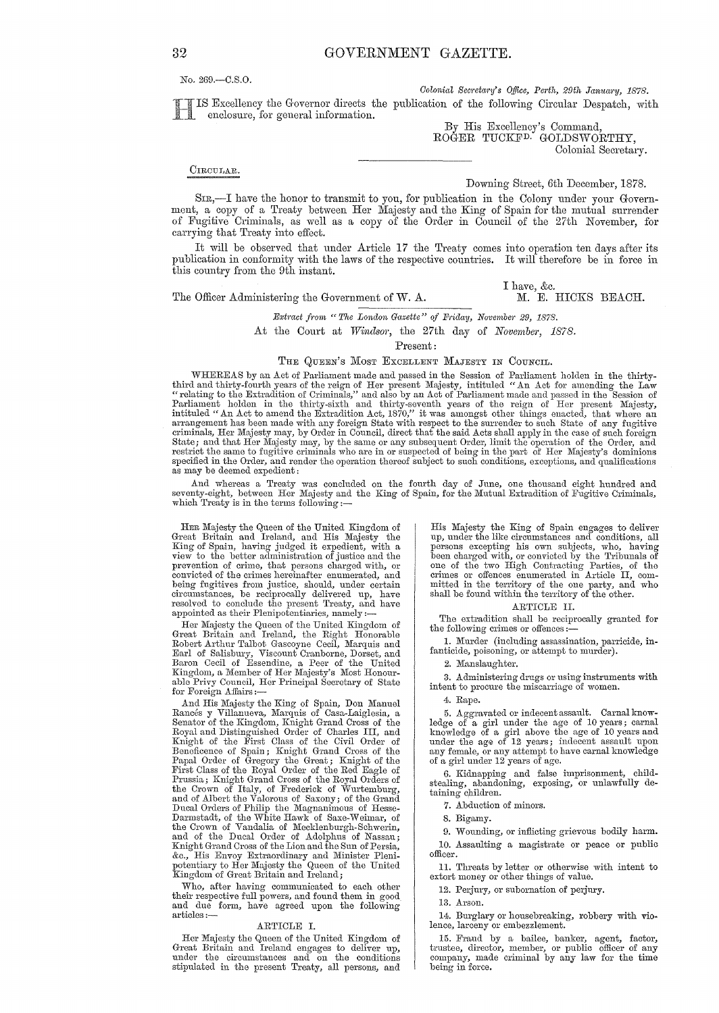No. 269.-C.S.0.

*Colonial Secretary's Office, Perth, 29th January, 1878.* 

Excellency the Governor directs the publication of the following Circular Despatch, with enclosure, for general information.

By His Excellency's Command, ROGER TUCKFD. GOLDSWORTHY, Colonial Secretary.

#### CIRCULAR.

Downing Street, 6th December, 1878.

I have, &c.<br>M. E. HICKS BEACH.

SIR,-I have the honor to transmit to you, for publication in the Colony under your Government, a copy of a Treaty between Her Majesty and the King of Spain for the mutual surrender of Fugitive Criminals, as well as a copy of the Order in Council of the 27th November, for carrying that Treaty into effect.

It will be observed that under Article 17 the Treaty comes into operation ten days after its pnblication in conformity with the laws of the respective countries. It will therefore be in force in this country from the 9th instant.

The Officer Administering the Government of W. A.

*Extract from " The London Gazette" of Friday, November 29, 1878.* 

At the Court at *Windsor,* the 27th day of *November, 1878.* 

Present:

#### THE QUEEN'S MOST EXCELLENT MAJESTY IN COUNCIL.

WHEREAS by an Act of Parliament made and passed in the Session of Parliament holden in the thirty-<br>third and thirty-fourth years of the reign of Her present Majesty, intituled "An Act for amending the Law<br>telating to the E Parliament holden in the thirty-sixth and thirty-seventh years of the reign of Her present Majesty,<br>intituled "An Act to amend the Extradition Act, 1870," it was amongst other things enacted, that where an<br>arrangement has criminals, Her Majesty may, by Order in Council, direct that the said Acts shall apply in the case of such foreign State; and that Her Majesty may, by the same or auy subsequent Order, limit the operation of the Order, and restrict the same to fugitive criminals who are in or suspected of being in the part of Her Majesty's dominions specified in the Order, and render the operation thereof subject to such conditions, exceptions, and qualifications as may be deemed expedient:

And whereas a Treaty was concluded on the fourth day of June, one thousand eight hundred and<br>seventy-eight, between Her Majesty and the King of Spain, for the Mutual Extradition of Fugitive Criminals,<br>which Treaty is in th

HER Majesty the Quecn of the United Kingdom of Great Britain and Ireland, and His Majesty the King of Spain, having judged it expedient, with a<br>view to the better administration of justice and the<br>prevention of crime, that persons charged with, or<br>convicted of the crimes hereinafter enumerated, and<br>being fugitives circumstances, be reciprocally delivered up, have resolved to conclude the present Treaty, and have appointed as their Plenipotentiaries, namely:-

Her Majesty the Queen of the United Kingdom of Great Britain and Ireland, the Right Honorable<br>Robert Arthur Talbot Gascoyne Cecil, Marquis and<br>Earl of Salisbury, Viscount Cranborne, Dorset, and<br>Baron Cecil of Essendine, a Peer of the United<br>Kingdom, a Member of Her Maj able Privy Council, Her Principal Secretary of State for Foreign Affairs:

And His Majesty the King of Spain, Don Manuel<br>Rancés y Villanueva, Marquis of Casa-Laiglesia, a<br>Senator of the Kingdom, Knight Grand Cross of the<br>Royal and Distinguished Order of Charles III, and<br>Knight of the First Class the Crown of Italy, of Frederick of Wurtemburg,<br>and of Albert the Valorous of Saxony; of the Grand<br>Ducal Orders of Philip the Magnanimous of Hesse-<br>Darmstadt, of the White Hawk of Saxe-Weimar, of<br>the Crown of Vandalia of M and of the Ducal Order of Adolphus of Nassau; Knight Grand Cross of the Lion and the Sun of Persia, &c., His Envoy Extraordinary and Minister Pleni-potentiary to Her Majesty the Queen of the United Kingdom of Great Britain and Ireland;

Who, after having communicated to each other their respective full powers, and found them in good and due form, have agreed upon the following articles :-

#### ARTICLE 1.

Her Majesty the Queen of the United Kingdom of Great Britain and Ireland engages to deliver up, under the circumstances and on the conditions stipulated in the present Treaty, all persons, and

His Majesty the King of Spain engages to deliver up, under the like circumstances and conditions, all persons excepting his own subjects, who, having been charged with, or convicted by the Tribunals of one of the two High Contractiug Parties, of the crimes or offences enumerated in Article 1I, com- mitted in the territory of the one party, and who shall be found within the territory of the other.

#### ARTICLE 1I.

The extradition shall be reciprocally granted for the following crimes or offences :-

1. Murder (including assassination, parricide, infanticide, poisoning, or attempt to murder).

2. Manslaughter.

3. Administering drugs or using instruments with intent to procure the miscarriage of women.

4. Rape.

5. Aggravated or indecent assault. Carnal knowledge of a girl under the age of 10 years; carnal knowledge of a girl above the age of 10 years and under the age of 12 years; indecent assault upon any female, or any attempt to have carnal knowledge of a girl under 12 years of age.

6. Kidnapping and false imprisonment, child-stealing, abandoning, exposing, or unlawfully detaining' children.

7. Abduction of minors.

8. Bigamy.

9. Wounding, or inflicting grievous bodily harm. 10. Assaulting a magistrate or peace or public officer.

11. Threats by letter or otherwise with intent to extort money or other things of value.

12. Perjury, or subornation of perjury.

13. Arson.

14. Burglary or housebreaking, robbery with violence, larceny or embezzlement.

15. Fraud by a bailee, banker, agent, factor, trustee, director, member, or public officer of any company, made criminal by any law for the time being in force,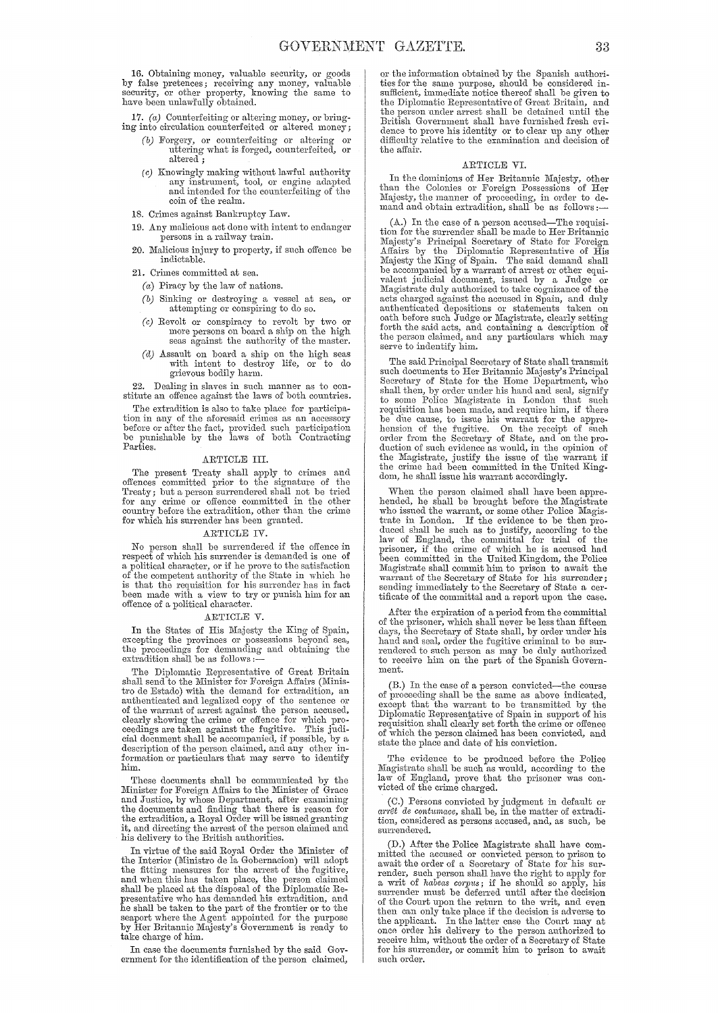16. Obtaining money, valuable security, or goods by false pretences; receiving any money, valuable security, or other property, knowing the same to have been unlawfully obtained.

17. (a) Counterfeiting or altering money, or bring-

- ing into circulation counterfeited or altered money; (b) Forgery, or counterfeiting or altering or uttering what is forged, counterfeited, or altered.
	- $(c)$  Knowingly making without lawful authority<br>any instrument, tool, or engine adapted and intended for the counterfeiting of the coin of the realm.
	- 18. Crimes against Bankruptcy Law.
	- 19. Any malicious act done with intent to endanger persons in a railway train.
	- 20. Malicious injury to property, if such offence be indictable.
	- 21. Crimes committed at sea.
		- $(a)$  Piracy by the law of nations.
		- (b) Sinking or destroying a vessel at sea, or attempting or conspiring to do so.
		- (c) Revolt or conspiracy to revolt by two or more persons on board a ship on the high seas against the authority of the master.
		- $(d)$  Assault on board a ship on the high seas with intent to destroy life, or grievous bodily harm. to do

22. Dealing in slaves in such manner as to constitute an offence against the laws of both countries.

The extradition is also to take place for participation in any of the aforesaid crimes as an accessory  $\overline{C}$  and  $\overline{C}$  are an accessory before or after the fact, provided such participation be punishable by the laws of both Contracting Parties.

#### ARTICLE III.

The present Treaty shall apply to crimes and The pession relative to the signature of the<br>offences committed prior to the signature of the<br>Treaty; but a person surrendered shall not be tried<br>for any crime or offence committed in the other<br>country before the extraditi for which his surrender has been granted.

#### ARTICLE IV

No person shall be surrendered if the offence in respect of which his surrender is demanded is one of a political character, or if he prove to the satisfaction<br>of the competent authority of the State in which he<br>is that the requisition for his surrender has in fact been made with a view to try or punish him for an other of a political character.

#### ARTICLE V.

In the States of His Majesty the King of Spain, excepting the provinces or possessions beyond sea, the proceedings for demanding and obtaining the extradition shall be as follows :-

The Diplomatic Representative of Great Britain shall send to the Minister for Foreign Affairs (Minisshall send to the minister for a contract that the densition, and the densition and for extradition, and authenticated and legalized copy of the sentence or of the warrant of arrest against the person accused, clearly show cial document shall be accompanied, if possible, by a description of the person claimed, and any other information or particulars that may serve to identify him.

These documents shall be communicated by the Minister for Foreign Affairs to the Minister of Grace and Justice, by whose Department, after examining and of the documents and fining that there is reason for<br>the extradition, a Royal Order will be issued granting<br>it, and directing the arrest of the person claimed and<br>his delivery to the British authorities.

In virtue of the said Royal Order the Minister of the Interior (Ministro de la Gobernacion) will adopt<br>the fitting measures for the arrest of the fugitive, and when this has taken place, the person claimed<br>shall be placed at the disposal of the Diplomatic Representative who has demanded his extradition, and<br>he shall be taken to the part of the frontier or to the seaport where the Agent appointed for the purpose<br>by Her Britannic Majesty's Government is ready to take charge of him.

In case the documents furnished by the said Government for the identification of the person claimed, or the information obtained by the Spanish authorities for the same purpose, should be considered in-<br>sufficient, immediate notice thereof shall be given to the Diplomatic Representative of Great Britain, and the person under arrest shall be detained until the British Government shall have furnished fresh evidence to prove his identity or to clear up any other<br>difficulty relative to the examination and decision of the affair.

#### ARTICLE VI.

In the dominions of Her Britannic Majesty, other than the Colonies or Foreign Possessions of Her<br>Majesty, the manner of proceeding, in order to de-<br>mand and obtain extradition, shall be as follows:

(A.) In the case of a person accused—The requisition for the surrender shall be made to Her Britannic Majesty's Principal Secretary of State for Foreign Affairs by the Diplomatic Representative of His Majesty the King of be accompanied by a warrant of arrest or other equivalent judicial document, issued by a Judge or Magistrate duly authorized to take oognizance of the acts charged against the accused in Spain, and duly authorized depositi the person claimed, and any particulars which may serve to indentify him.

The said Principal Secretary of State shall transmit such documents to Her Britannic Majesty's Principal Secretary of State for the Home Department, who Secretary of State for the Home Department, who<br>shall then, by order under his hand and seal, signify<br>to some Police Magistrate in London that such<br>requisition has been made, and require him, if there<br>be due cause, to issu dom, he shall issue his warrant accordingly.

When the person claimed shall have been apprehended, he shall be brought before the Magistrate<br>who issued the warrant, or some other Police Magistrate<br>trate in London. If the evidence to be then produced shall be such as to justify, according to the law of England, the committal for trial of the raw of England, the commental for the second had<br>been committed in the United Kingdom, the Police<br>Magistrate shall commit him to prison to await the<br>warrant of the Secretary of State for his surrender;<br>sending immediately tificate of the committal and a report upon the case.

After the expiration of a period from the committal The two me explanator of a period from the commutation<br>of the prisoner, which shall never be less than fifteen<br>days, the Secretary of State shall, by order under his hand and seal, order the fugitive criminal to be surrendered to such person as may be duly authorized<br>to receive him on the part of the Spanish Government.

(B.) In the case of a person convicted—the course of proceeding shall be the same as above indicated, except that the warrant to be transmitted by the Diplomatic Representative of Spain in support of his requisition shall state the place and date of his conviction.

The evidence to be produced before the Police Magistrate shall be such as would, according to the law of England, prove that the prisoner was convicted of the crime charged.

(C.) Persons convicted by judgment in default or  $arr \ell t$  de contunace, shall be, in the matter of extradition, considered as persons accused, and, as such, be surrendered

(D.) After the Police Magistrate shall have committed the accused or convicted person to prison to await the order of a Secretary of State for his surawate the other of a Schedury of State for this sur-<br>render, such person shall have the right to apply for<br>a writ of habeas corpus; if he should so apply his<br>surrender must be deferred until after the decision<br>of the Court then can only take place if the decision is adverse to the applicant. In the latter case the Court may at<br>once order his delivery to the person authorized to<br>order his surrender, without the order of a Secretary of State<br>for his surrender, or commit him to prison to await such order.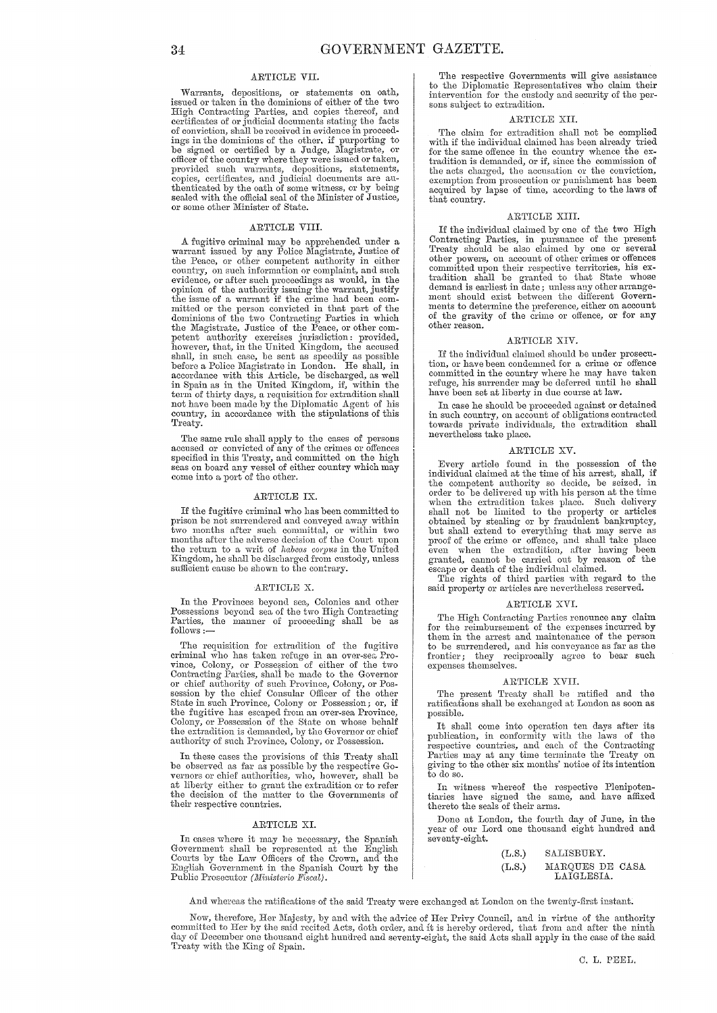### ARTICLE VII.

Warrants, depositions, or statements on oath, issued or taken in the dominions of either of the two High Contracting Parties, and copies thereof, and certificates of or judicial documents stating the facts of conviction, shall be received in evidence in proceedings in the dominions of the other, if purporting to be signed or certified by a Judge, Magistrate, or officer of the country where they were issued or taken, provided such warrants, depositions, statements, copies, certificates, and judicial documents are authenticated by the oath of some witness, or by being sealed with the official seal of the Minister of Justice, or some other Minister of State.

#### ARTICLE VIII.

A fugitive criminal may be apprehended under a warrant issued by any Police Magistrate, Justice of the Peace, or other competent authority in either country, on such information or complaint, and such evidence, or after such proceedings as would, in the opinion of the authority issuing the warrant, justify<br>the issue of a warrant if the crime had been com-<br>mitted or the person convicted in that part of the<br>dominions of the two Contracting Parties in which<br>the Magistrate, J petent authority exercises jurisdiction: provided,<br>however, that, in the United Kingdom, the accused<br>shall, in such case, be sent as speedily as possible<br>before a Police Magistrate in London. He shall, in<br>accordance with t term of thirty days, a requisition for extradition shall not have been made by the Diplomatic Agent of his country, in accordance with the stipulations of this Treaty.

The same rule shall apply to the cases of persons accused or convicted of any of the crimes or offences specified in this Treaty, and committed on the high seas on board any vessel of either country which may come into a port of the other.

#### ARTICLE IX.

If the fugitive criminal who has been committed to prison be not surrendered and conveyed away within<br>two months after such committal, or within two months after the adverse decision of the Court upon the return to a writ of *habeas corpus* in the United Kingdom, he shall be discharged from custody, unless sufficient cause be shown to the contrary.

#### ARTICLE X.

In the Provinces beyond sea, Colonies and other Possessions beyond sea of the two High Contracting Parties, the manner of proceeding shall be as follows :-

The requisition for extradition of the fugitive criminal who has taken refuge in an over-sea Pro-<br>vince, Colony, or Possession of either of the two<br>Contracting Parties, shall be made to the Governor<br>or chief authority of such Province, Colony, or Pos-<br>session by the chi State in such Province, Colony or Possession; or, if the fugitive has escaped from an over-sea Province, Colony, or Possession of the State on whose behalf<br>the extradition is demanded, by the Governor or chief<br>authority of such Province, Colony, or Possession.

In these cases the provisions of this Treaty slmll be observed as far as possible by the respective Go-<br>vernors or chief authorities, who, however, shall be<br>at liberty either to grant the extradition or to refer<br>the decision of the matter to the Governments of their respective countries.

#### ARTICLE XI.

In cases where it may be necessary, the Spanish Government shall be represented at the English Courts by the Law Officers of the Crown, and the English Government in the Spanish Court by the Public Prosecutor *(Ministerio Fiscal)*.

The respective Governments will give assistance to the Diplomatic Representatives who claim their intervention for the custody and security of the persons subject to extradition.

### ARTICLE XII.

The claim for extradition shall not be complied with if the individual claimed has been already tried for the same offence in the country whence the extradition is demanded, or if, since the commission of the acts charged, the accusation or the conviction, exemption from prosecution or punishment has been acquired by lapse of time, according to the laws of that country.

#### ARTICLE XIII.

If the individual claimed by one of the two High Contracting Parties, in pursuance of the present Treaty should be also claimed by one or several other powers, on account of other crimes or offences<br>committed upon their respective territories, his ex-<br>tradition shall be granted to that State whose<br>demand is earliest in date; unless any other arrangement should exist between the different Governments to determine the preference, either on account of the gravity of the crime or offence, or for any other reason.

#### ARTICLE XIV.

If the individual claimed should be under prosecution, or have been condemned for a crime or offence committed in the country where he may have taken refuge, his surrender may be deferred until he shall have been set at liberty in due course at law.

In case he should be proceeded against or detained in such country, on account of obligations contracted towards private individuals, the extradition shall nevertheless take place.

#### ARTICLE XV.

Every article found in the possession of the individual claimed at the time of his arrest, shall, if the competent authority so decide, be seized, in<br>order to be delivered up with his person at the time<br>when the extradition takes place. Such delivery<br>shall not be limited to the property or articles<br>obtained by stealing or proof of the crime or offence, and shall take place even when the extradition, after having been granted, cannot be carried out by reason of the escape or death of the individual claimed.

The rights of third parties with regard to the said property or articles are nevertheless reserved.

#### ARTICLE XVI.

The High Contracting Parties renounce any claim for the reimbursement of the expenses incurred by them in the arrest and maintenance of the person to be surrendered, and his conveyance as far as the frontier; they reciprocally agree to bear such expenses themselves.

#### ARTICLE XVII.

The present Treaty shall be ratified and the ratifications shall be exchanged at London as soon as possible.

It shall come into operation ten days after its publication, in conformity with the laws of the respective countries, and each of the Contracting Parties may at any time terminate the Treaty on giving to the other six months' notice of its intention to do so.

In witness whereof the respective Plenipotentiaries have signed the same, and have affixed thereto the seals of their arms.

Done at London, the fourth day of June, in the year of our Lord one thousand eight hundred and seventy-eight.

| (L.S.) | SALISBURY.                    |  |
|--------|-------------------------------|--|
| (L.S.) | MARQUES DE CASA<br>LAIGLESIA. |  |

And whereas the ratifications of the said Treaty were exchanged at London on the twenty-first instant.

Now, therefore, Her Majesty, by and with the advice of Her Privy Council, and in virtue of the authority committed to Her by the said recited Acts, doth order, and it is hereby ordered, that from and after the ninth day of December one thousand eight hundred and seventy-eight, the said Acts shall apply in the case of the said Treaty with the King of Spain.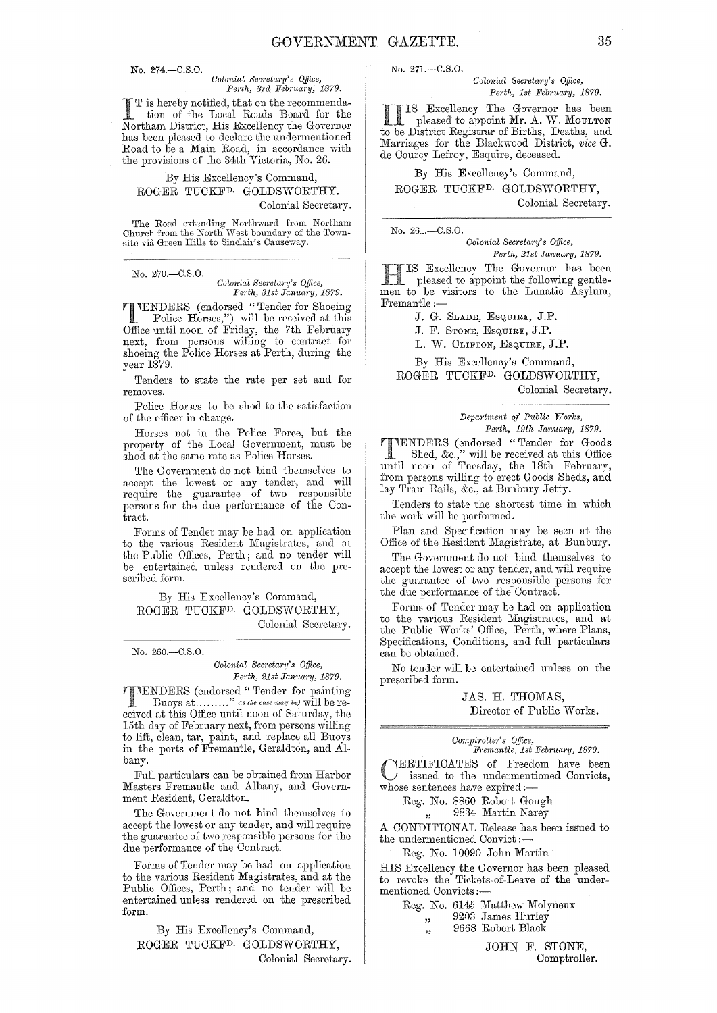No. 274, - C.S.O.

# *Colonial Secretal'Y's Office, Perth, 3ra Febmary, 1879.*

I T is hereby notified, that on the recommenda-<br>tion of the Local Roads Board for the<br>Next have District His Excellence the Corewood Northam District, His Excellency the Governor has been pleased to declare the undermentioned Road to be a Main Road, in accordance with the provisions of the 34th Victoria, No. 26.

## By His Excellency's Command, ROGER TUCKFD. GOLDSWORTHY. Colonial Secretary.

The Road extending Northward from Northam<br>Church from the North West boundary of the Townsite via Green Hills to Sinclair's Causeway.

No. 270.-C.S.0.

#### *Colonial Secreta·J'Y's Office, Perth, 31st January, 1879.*

**TENDERS** (endorsed "Tender for Shoeing<br>
Police Horses,") will be received at this<br>
Office until name of Friday, the 7th Fahmann Office until noon of Friday, the 7th February next, from persons willing to contract for shoeing the Police Horses at Perth, during the year 1879.

Tenders to state the rate per set and for removes.

Police Horses to be shod to the satisfaction of the officer in charge.

Horses not in the Police Force, but the property of the Local Government, must be shod at the same rate as Police Horses.

The Government do not bind themselves to accept the lowest or any tender; and will require the guarantee of two responsible persons for the due performance of the Contract.

Forms of Tender may be had on application to the various Resident Magistrates, and at the Public Offices, Perth; and no tender will be entertained unless rendered on the prescribed form.

By His Excellency's Command, ROGER TUCKFD. GOLDSWORTHY, Colonial Secretary.

No. 260.-C.S.0.

#### $Colonial$  Secretary's Office, *Perth, 21st January, 1879.*

**TIMENTERS** (endorsed "Tender for painting Buoys at........." as the case may be) will be received at this Office until noon of Saturday, the 15th day of February next, from persons willing to lift, clean, tar, paint, and replace all Buovs in the ports of Fremantle, Geraldton, and Albany.

Full particulars can be obtained from Harbor Masters Fremantle and Albany, and Government Resident, Geraldton.

The Government do not bind themselves to accept the lowest or any tender, and will require the guarantee of two responsible persons for the due performance of the Contract.

Forms of Tender may be had on application to the various Resident Magistrates, and at the Public Offices, Perth; and no tender will be entertained unless rendered on the prescribed form.

By His Excellency's Command, ROGER TUCKFD. GOLDSWORTHY, Colonial Secretary. No. 271.-C.S.0.

*Colonial Secretary's Office,* Perth, 1st February, 1879.

IS Excellency The Governor has been<br>pleased to appoint Mr. A. W. MOULTON<br>to be District Begistrar of Births Deaths, and to be District Registrar of Births, Deaths, and Marriages for the Blackwood District, vice G. de Courcy Lefroy, Esquire, deceased.

## By His Excellency's Command,

ROGER TUCKFD. GOLDSWORTBY, Colonial Secretary.

No. 261.-C.S.0.

*Colonial Secretar·y's Office, Perth, 21st January, 1879.* 

Excellency The Governor has been pleased to appoint the following gentlemen to be visitors to the Lunatic Asylum, Fremantle :-

J. G. SLADE, ESQUIRE, J.P.

J. F. STONE, ESQUIRE, J.P.

L. W. CLIFTON, ESQUIRE, J.P.

By His Excellency's Command, ROGER TUCKFD. GOLDSWORTHY, Colonial Secretary.

> $Department of Public Works,$ *Perth, 19th January, 1879.*

TENDERS (endorsed "Tender for Goods Shed, &c.," will be received at this Office until noon of Tuesday, the 18th February, from persons willing to erect Goods Sheds, and lay Tram Rails, &c., at Bunbury Jetty.

Tenders to state the shortest time in which the work will be performed.

Plan and Specification may be seen at the Office of the Resident Magistrate, at Bunbury.

The Government do not bind themselves to accept the lowest or any tender, and will require the guarantee of two responsible persons for the due performance of the Contract.

Forms of Tender may be had on application to the various Resident Magistrates, and at the Public Works' Office, Perth, where Plans, Specifications, Conditions, and full particulars can be obtained.

No tender will be entertained unless on the prescribed form.

> JAS. H. THOMAS, Director of Public Works.

 $Comptroller's$  Office, *1J'l'ernantle, 1st 1J'eb1'ua1'y, 1879.* 

CERTIFICATES of Freedom have been issued to the undermentioned Convicts, whose sentences have expired:-

> Reg. No. 8860 Robert Gough ,, 9834 Martin Narey

A CONDITIONAL Release has been issued to the undermentioned Convict :-

Reg. No. 10090 John Martin

HIS Excellency the Governor has been pleased to revoke the Tickets-of-Leave of the undermentioned Convicts:-

Reg. No. 6145 Matthew Molyneux " 9203 James Hurley ", 9668 Robert Black

> JOHN F. STONE, Comptroller.